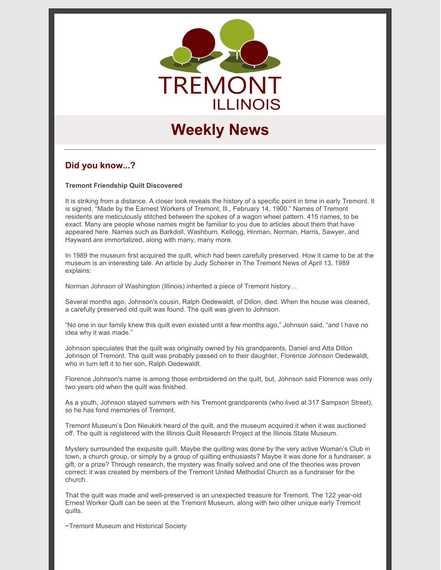

# **Weekly News**

# **Did you know...?**

**Tremont Friendship Quilt Discovered**

It is striking from a distance. A closer look reveals the history of a specific point in time in early Tremont. It is signed, "Made by the Earnest Workers of Tremont, Ill., February 14, 1900." Names of Tremont residents are meticulously stitched between the spokes of a wagon wheel pattern. 415 names, to be exact. Many are people whose names might be familiar to you due to articles about them that have appeared here. Names such as Barkdoll, Washburn, Kellogg, Hinman, Norman, Harris, Sawyer, and Hayward are immortalized, along with many, many more.

In 1989 the museum first acquired the quilt, which had been carefully preserved. How it came to be at the museum is an interesting tale. An article by Judy Scheirer in The Tremont News of April 13, 1989 explains:

Norman Johnson of Washington (Illinois) inherited a piece of Tremont history…

Several months ago, Johnson's cousin, Ralph Oedewaldt, of Dillon, died. When the house was cleaned, a carefully preserved old quilt was found. The quilt was given to Johnson.

"No one in our family knew this quilt even existed until a few months ago," Johnson said, "and I have no idea why it was made."

Johnson speculates that the quilt was originally owned by his grandparents, Daniel and Atta Dillon Johnson of Tremont. The quilt was probably passed on to their daughter, Florence Johnson Oedewaldt, who in turn left it to her son, Ralph Oedewaldt.

Florence Johnson's name is among those embroidered on the quilt, but, Johnson said Florence was only two years old when the quilt was finished.

As a youth, Johnson stayed summers with his Tremont grandparents (who lived at 317 Sampson Street), so he has fond memories of Tremont.

Tremont Museum's Don Nieukirk heard of the quilt, and the museum acquired it when it was auctioned off. The quilt is registered with the Illinois Quilt Research Project at the Illinois State Museum.

Mystery surrounded the exquisite quilt. Maybe the quilting was done by the very active Woman's Club in town, a church group, or simply by a group of quilting enthusiasts? Maybe it was done for a fundraiser, a gift, or a prize? Through research, the mystery was finally solved and one of the theories was proven correct: it was created by members of the Tremont United Methodist Church as a fundraiser for the church.

That the quilt was made and well-preserved is an unexpected treasure for Tremont. The 122 year-old Ernest Worker Quilt can be seen at the Tremont Museum, along with two other unique early Tremont quilts.

~Tremont Museum and Historical Society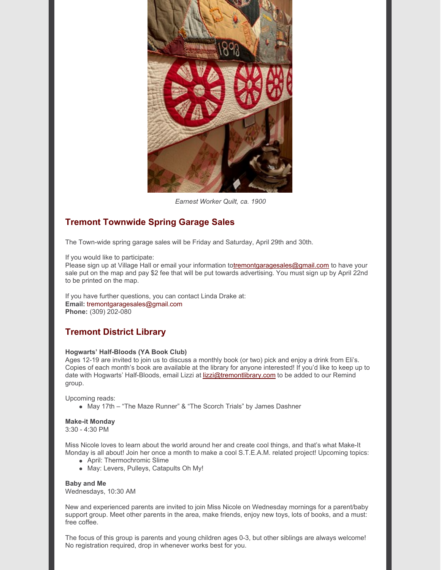

*Earnest Worker Quilt, ca. 1900*

# **Tremont Townwide Spring Garage Sales**

The Town-wide spring garage sales will be Friday and Saturday, April 29th and 30th.

If you would like to participate:

Please sign up at Village Hall or email your information t[otremontgaragesales@gmail.com](mailto:tremontgaragesales@gmail.com) to have your sale put on the map and pay \$2 fee that will be put towards advertising. You must sign up by April 22nd to be printed on the map.

If you have further questions, you can contact Linda Drake at: **Email:** tremontgaragesales@gmail.com **Phone:** (309) 202-080

# **Tremont District Library**

#### **Hogwarts' Half-Bloods (YA Book Club)**

Ages 12-19 are invited to join us to discuss a monthly book (or two) pick and enjoy a drink from Eli's. Copies of each month's book are available at the library for anyone interested! If you'd like to keep up to date with Hogwarts' Half-Bloods, email Lizzi at [lizzi@tremontlibrary.com](mailto:lizzi@tremontlibrary.com) to be added to our Remind group.

Upcoming reads:

May 17th – "The Maze Runner" & "The Scorch Trials" by James Dashner

## **Make-it Monday**

3:30 - 4:30 PM

Miss Nicole loves to learn about the world around her and create cool things, and that's what Make-It Monday is all about! Join her once a month to make a cool S.T.E.A.M. related project! Upcoming topics:

- April: Thermochromic Slime
- May: Levers, Pulleys, Catapults Oh My!

**Baby and Me** Wednesdays, 10:30 AM

New and experienced parents are invited to join Miss Nicole on Wednesday mornings for a parent/baby support group. Meet other parents in the area, make friends, enjoy new toys, lots of books, and a must: free coffee.

The focus of this group is parents and young children ages 0-3, but other siblings are always welcome! No registration required, drop in whenever works best for you.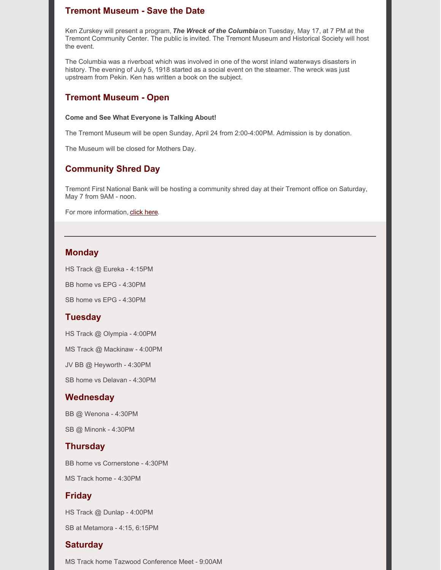## **Tremont Museum - Save the Date**

Ken Zurskey will present a program, *The Wreck of the Columbia* on Tuesday, May 17, at 7 PM at the Tremont Community Center. The public is invited. The Tremont Museum and Historical Society will host the event.

The Columbia was a riverboat which was involved in one of the worst inland waterways disasters in history. The evening of July 5, 1918 started as a social event on the steamer. The wreck was just upstream from Pekin. Ken has written a book on the subject.

#### **Tremont Museum - Open**

#### **Come and See What Everyone is Talking About!**

The Tremont Museum will be open Sunday, April 24 from 2:00-4:00PM. Admission is by donation.

The Museum will be closed for Mothers Day.

## **Community Shred Day**

Tremont First National Bank will be hosting a community shred day at their Tremont office on Saturday, May 7 from 9AM - noon.

For more information, click [here.](https://www.tremontil.com/Tremont-news/2022/Shred_Day.pdf)

#### **Monday**

HS Track @ Eureka - 4:15PM

BB home vs EPG - 4:30PM

SB home vs EPG - 4:30PM

## **Tuesday**

HS Track @ Olympia - 4:00PM

MS Track @ Mackinaw - 4:00PM

JV BB @ Heyworth - 4:30PM

SB home vs Delavan - 4:30PM

#### **Wednesday**

BB @ Wenona - 4:30PM

SB @ Minonk - 4:30PM

#### **Thursday**

BB home vs Cornerstone - 4:30PM

MS Track home - 4:30PM

#### **Friday**

HS Track @ Dunlap - 4:00PM

SB at Metamora - 4:15, 6:15PM

#### **Saturday**

MS Track home Tazwood Conference Meet - 9:00AM